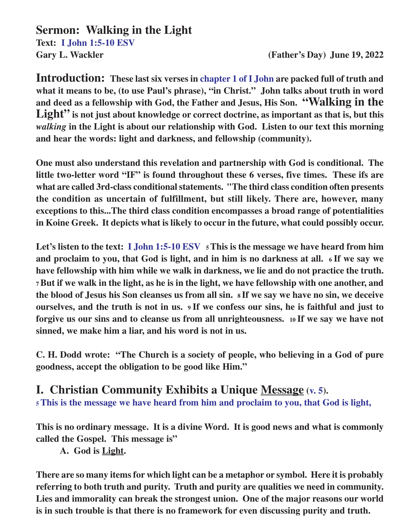**Sermon: Walking in the Light Text: I John 1:5-10 ESV Gary L. Wackler (Father's Day) June 19, 2022**

**Introduction: These last six verses in chapter 1 of I John are packed full of truth and what it means to be, (to use Paul's phrase), "in Christ." John talks about truth in word and deed as a fellowship with God, the Father and Jesus, His Son. "Walking in the** Light" is not just about knowledge or correct doctrine, as important as that is, but this *walking* **in the Light is about our relationship with God. Listen to our text this morning and hear the words: light and darkness, and fellowship (community).**

**One must also understand this revelation and partnership with God is conditional. The little two-letter word "IF" is found throughout these 6 verses, five times. These ifs are what are called 3rd-class conditional statements. "The third class condition often presents the condition as uncertain of fulfillment, but still likely. There are, however, many exceptions to this...The third class condition encompasses a broad range of potentialities in Koine Greek. It depicts what is likely to occur in the future, what could possibly occur.**

**Let's listen to the text: I John 1:5-10 ESV 5 This is the message we have heard from him and proclaim to you, that God is light, and in him is no darkness at all. 6 If we say we have fellowship with him while we walk in darkness, we lie and do not practice the truth. <sup>7</sup>But if we walk in the light, as he is in the light, we have fellowship with one another, and the blood of Jesus his Son cleanses us from all sin. 8 If we say we have no sin, we deceive ourselves, and the truth is not in us. 9 If we confess our sins, he is faithful and just to forgive us our sins and to cleanse us from all unrighteousness. 10 If we say we have not sinned, we make him a liar, and his word is not in us.**

**C. H. Dodd wrote: "The Church is a society of people, who believing in a God of pure goodness, accept the obligation to be good like Him."**

**I. Christian Community Exhibits a Unique Message (v. 5). <sup>5</sup>This is the message we have heard from him and proclaim to you, that God is light,**

**This is no ordinary message. It is a divine Word. It is good news and what is commonly called the Gospel. This message is"**

**A. God is Light.**

**There are so many items for which light can be a metaphor or symbol. Here it is probably referring to both truth and purity. Truth and purity are qualities we need in community. Lies and immorality can break the strongest union. One of the major reasons our world is in such trouble is that there is no framework for even discussing purity and truth.**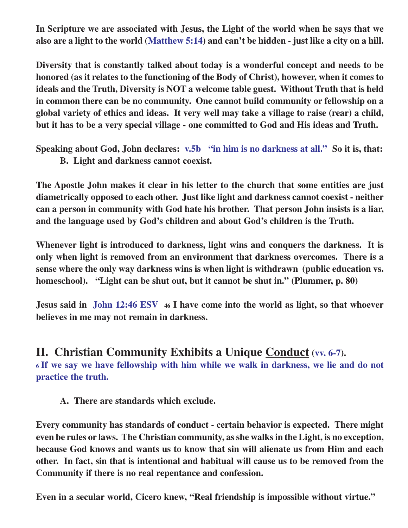**In Scripture we are associated with Jesus, the Light of the world when he says that we also are a light to the world (Matthew 5:14) and can't be hidden - just like a city on a hill.**

**Diversity that is constantly talked about today is a wonderful concept and needs to be honored (as it relates to the functioning of the Body of Christ), however, when it comes to ideals and the Truth, Diversity is NOT a welcome table guest. Without Truth that is held in common there can be no community. One cannot build community or fellowship on a global variety of ethics and ideas. It very well may take a village to raise (rear) a child, but it has to be a very special village - one committed to God and His ideas and Truth.**

**Speaking about God, John declares: v.5b "in him is no darkness at all." So it is, that: B. Light and darkness cannot coexist.**

**The Apostle John makes it clear in his letter to the church that some entities are just diametrically opposed to each other. Just like light and darkness cannot coexist - neither can a person in community with God hate his brother. That person John insists is a liar, and the language used by God's children and about God's children is the Truth.**

**Whenever light is introduced to darkness, light wins and conquers the darkness. It is only when light is removed from an environment that darkness overcomes. There is a sense where the only way darkness wins is when light is withdrawn (public education vs. homeschool). "Light can be shut out, but it cannot be shut in." (Plummer, p. 80)**

**Jesus said in John 12:46 ESV 46 I have come into the world as light, so that whoever believes in me may not remain in darkness.**

## **II. Christian Community Exhibits a Unique Conduct (vv. 6-7).**

**<sup>6</sup>If we say we have fellowship with him while we walk in darkness, we lie and do not practice the truth.**

**A. There are standards which exclude.**

**Every community has standards of conduct - certain behavior is expected. There might even be rules or laws. The Christian community, as she walks in the Light, is no exception, because God knows and wants us to know that sin will alienate us from Him and each other. In fact, sin that is intentional and habitual will cause us to be removed from the Community if there is no real repentance and confession.**

**Even in a secular world, Cicero knew, "Real friendship is impossible without virtue."**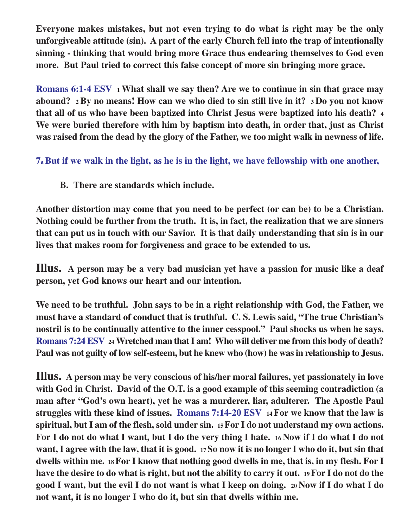**Everyone makes mistakes, but not even trying to do what is right may be the only unforgiveable attitude (sin). A part of the early Church fell into the trap of intentionally sinning - thinking that would bring more Grace thus endearing themselves to God even more. But Paul tried to correct this false concept of more sin bringing more grace.**

**Romans 6:1-4 ESV <sup>1</sup>What shall we say then? Are we to continue in sin that grace may abound? 2 By no means! How can we who died to sin still live in it? 3 Do you not know that all of us who have been baptized into Christ Jesus were baptized into his death? <sup>4</sup> We were buried therefore with him by baptism into death, in order that, just as Christ was raised from the dead by the glory of the Father, we too might walk in newness of life.**

**7a But if we walk in the light, as he is in the light, we have fellowship with one another,**

**B. There are standards which include.**

**Another distortion may come that you need to be perfect (or can be) to be a Christian. Nothing could be further from the truth. It is, in fact, the realization that we are sinners that can put us in touch with our Savior. It is that daily understanding that sin is in our lives that makes room for forgiveness and grace to be extended to us.**

**Illus. A person may be a very bad musician yet have a passion for music like a deaf person, yet God knows our heart and our intention.**

**We need to be truthful. John says to be in a right relationship with God, the Father, we must have a standard of conduct that is truthful. C. S. Lewis said, "The true Christian's nostril is to be continually attentive to the inner cesspool." Paul shocks us when he says, Romans 7:24 ESV 24 Wretched man that I am! Who will deliver me from this body of death? Paul was not guilty of low self-esteem, but he knew who (how) he was in relationship to Jesus.**

**Illus. A person may be very conscious of his/her moral failures, yet passionately in love with God in Christ. David of the O.T. is a good example of this seeming contradiction (a man after "God's own heart), yet he was a murderer, liar, adulterer. The Apostle Paul struggles with these kind of issues. Romans 7:14-20 ESV 14 For we know that the law is spiritual, but I am of the flesh, sold under sin. 15 For I do not understand my own actions. For I do not do what I want, but I do the very thing I hate. 16 Now if I do what I do not want, I agree with the law, that it is good. 17 So now it is no longer I who do it, but sin that dwells within me. 18 For I know that nothing good dwells in me, that is, in my flesh. For I have the desire to do what is right, but not the ability to carry it out. 19 For I do not do the good I want, but the evil I do not want is what I keep on doing. 20 Now if I do what I do not want, it is no longer I who do it, but sin that dwells within me.**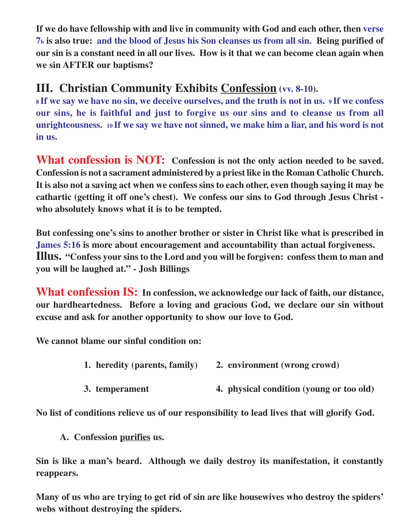**If we do have fellowship with and live in community with God and each other, then verse 7<sup>b</sup> is also true: and the blood of Jesus his Son cleanses us from all sin. Being purified of our sin is a constant need in all our lives. How is it that we can become clean again when we sin AFTER our baptisms?**

## **III. Christian Community Exhibits Confession (vv. 8-10).**

**<sup>8</sup>If we say we have no sin, we deceive ourselves, and the truth is not in us. 9 If we confess our sins, he is faithful and just to forgive us our sins and to cleanse us from all unrighteousness. 10 If we say we have not sinned, we make him a liar, and his word is not in us.**

**What confession is NOT: Confession is not the only action needed to be saved. Confession is not a sacrament administered by a priest like in the Roman Catholic Church. It is also not a saving act when we confess sins to each other, even though saying it may be cathartic (getting it off one's chest). We confess our sins to God through Jesus Christ who absolutely knows what it is to be tempted.**

**But confessing one's sins to another brother or sister in Christ like what is prescribed in James 5:16 is more about encouragement and accountability than actual forgiveness. Illus. "Confess your sins to the Lord and you will be forgiven: confess them to man and you will be laughed at." - Josh Billings**

**What confession IS: In confession, we acknowledge our lack of faith, our distance, our hardheartedness. Before a loving and gracious God, we declare our sin without excuse and ask for another opportunity to show our love to God.**

**We cannot blame our sinful condition on:**

- **1. heredity (parents, family) 2. environment (wrong crowd)**
- **3. temperament 4. physical condition (young or too old)**

**No list of conditions relieve us of our responsibility to lead lives that will glorify God.**

**A. Confession purifies us.**

**Sin is like a man's beard. Although we daily destroy its manifestation, it constantly reappears.**

**Many of us who are trying to get rid of sin are like housewives who destroy the spiders' webs without destroying the spiders.**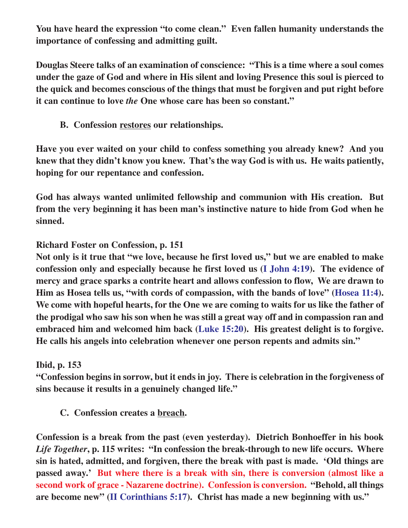**You have heard the expression "to come clean." Even fallen humanity understands the importance of confessing and admitting guilt.**

**Douglas Steere talks of an examination of conscience: "This is a time where a soul comes under the gaze of God and where in His silent and loving Presence this soul is pierced to the quick and becomes conscious of the things that must be forgiven and put right before it can continue to love** *the* **One whose care has been so constant."**

**B. Confession restores our relationships.**

**Have you ever waited on your child to confess something you already knew? And you knew that they didn't know you knew. That's the way God is with us. He waits patiently, hoping for our repentance and confession.**

**God has always wanted unlimited fellowship and communion with His creation. But from the very beginning it has been man's instinctive nature to hide from God when he sinned.**

**Richard Foster on Confession, p. 151**

**Not only is it true that "we love, because he first loved us," but we are enabled to make confession only and especially because he first loved us (I John 4:19). The evidence of mercy and grace sparks a contrite heart and allows confession to flow, We are drawn to Him as Hosea tells us, "with cords of compassion, with the bands of love" (Hosea 11:4). We come with hopeful hearts, for the One we are coming to waits for us like the father of the prodigal who saw his son when he was still a great way off and in compassion ran and embraced him and welcomed him back (Luke 15:20). His greatest delight is to forgive. He calls his angels into celebration whenever one person repents and admits sin."**

**Ibid, p. 153**

**"Confession begins in sorrow, but it ends in joy. There is celebration in the forgiveness of sins because it results in a genuinely changed life."**

**C. Confession creates a breach.**

**Confession is a break from the past (even yesterday). Dietrich Bonhoeffer in his book** *Life Together***, p. 115 writes: "In confession the break-through to new life occurs. Where sin is hated, admitted, and forgiven, there the break with past is made. 'Old things are passed away.' But where there is a break with sin, there is conversion (almost like a second work of grace - Nazarene doctrine). Confession is conversion. "Behold, all things are become new" (II Corinthians 5:17). Christ has made a new beginning with us."**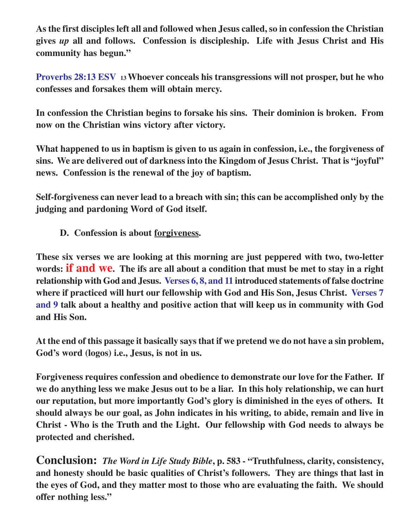**As the first disciples left all and followed when Jesus called, so in confession the Christian gives** *up* **all and follows. Confession is discipleship. Life with Jesus Christ and His community has begun."**

**Proverbs 28:13 ESV <sup>13</sup>Whoever conceals his transgressions will not prosper, but he who confesses and forsakes them will obtain mercy.**

**In confession the Christian begins to forsake his sins. Their dominion is broken. From now on the Christian wins victory after victory.**

**What happened to us in baptism is given to us again in confession, i.e., the forgiveness of sins. We are delivered out of darkness into the Kingdom of Jesus Christ. That is "joyful" news. Confession is the renewal of the joy of baptism.**

**Self-forgiveness can never lead to a breach with sin; this can be accomplished only by the judging and pardoning Word of God itself.**

**D. Confession is about forgiveness.**

**These six verses we are looking at this morning are just peppered with two, two-letter words: if and we. The ifs are all about a condition that must be met to stay in a right relationship with God and Jesus. Verses 6, 8, and 11 introduced statements of false doctrine where if practiced will hurt our fellowship with God and His Son, Jesus Christ. Verses 7 and 9 talk about a healthy and positive action that will keep us in community with God and His Son.**

**At the end of this passage it basically says that if we pretend we do not have a sin problem, God's word (logos) i.e., Jesus, is not in us.**

**Forgiveness requires confession and obedience to demonstrate our love for the Father. If we do anything less we make Jesus out to be a liar. In this holy relationship, we can hurt our reputation, but more importantly God's glory is diminished in the eyes of others. It should always be our goal, as John indicates in his writing, to abide, remain and live in Christ - Who is the Truth and the Light. Our fellowship with God needs to always be protected and cherished.**

**Conclusion:** *The Word in Life Study Bible***, p. 583 - "Truthfulness, clarity, consistency, and honesty should be basic qualities of Christ's followers. They are things that last in the eyes of God, and they matter most to those who are evaluating the faith. We should offer nothing less."**